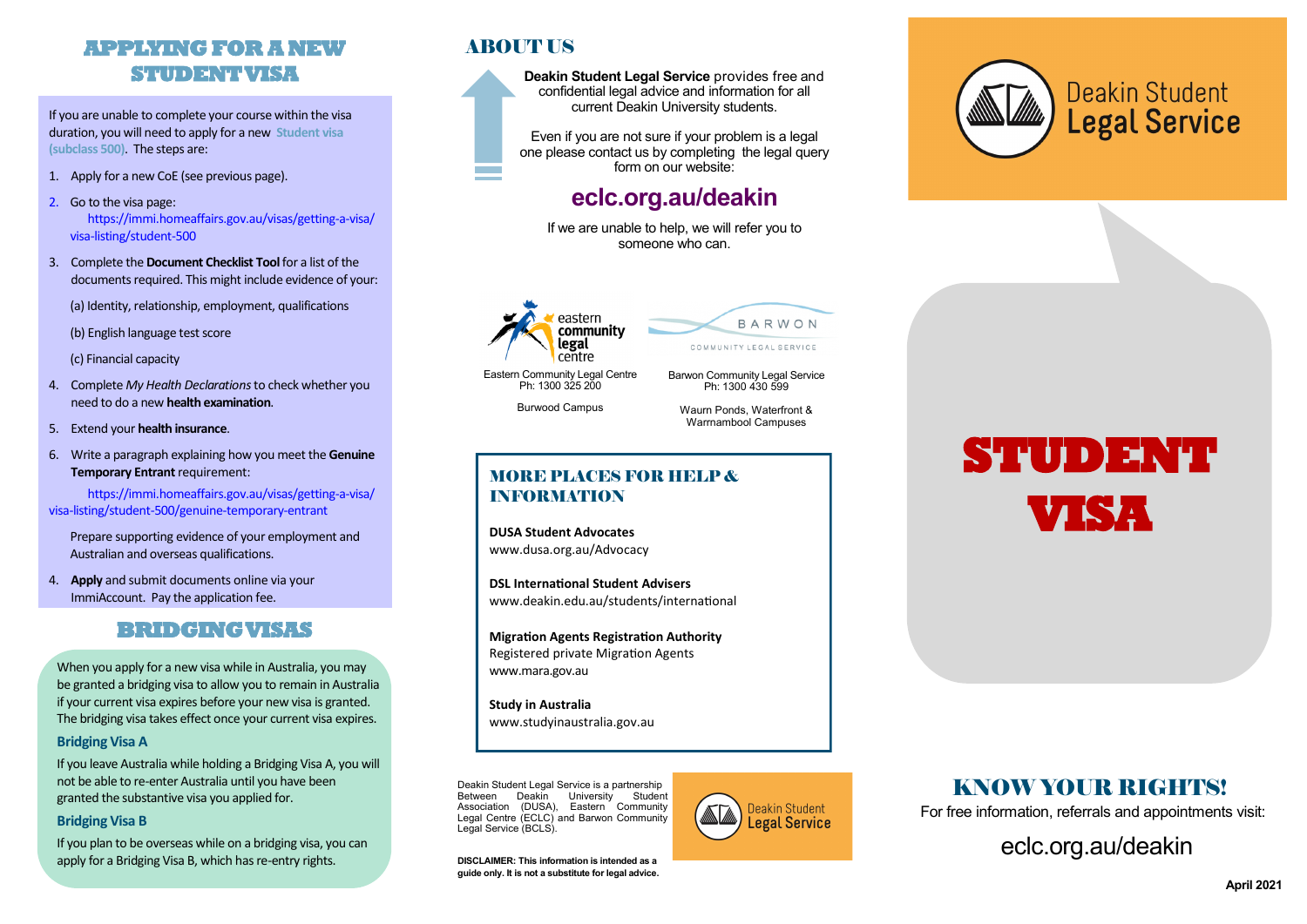### **APPLYING FOR A NEW STUDENT VISA**

If you are unable to complete your course within the visa duration, you will need to apply for a new **Student visa (subclass 500)**.The steps are:

- 1. Apply for a new CoE (see previous page).
- 2. Go to the visa page: https://immi.homeaffairs.gov.au/visas/getting-a-visa/ visa-listing/student-500
- 3. Complete the **Document Checklist Tool**for a list of the documents required. This might include evidence of your:

(a) Identity, relationship, employment, qualifications

(b) English language test score

(c) Financial capacity

- 4. Complete *My Health Declarations* to check whether you need to do a new **health examination**.
- 5. Extend your **health insurance**.
- 6. Write a paragraph explaining how you meet the **Genuine Temporary Entrant requirement:**

https://immi.homeaffairs.gov.au/visas/getting-a-visa/ visa-listing/student-500/genuine-temporary-entrant

Prepare supporting evidence of your employment and Australian and overseas qualifications.

4. **Apply** and submit documents online via your ImmiAccount. Pay the application fee.

#### **BRIDGING VISAS**

When you apply for a new visa while in Australia, you may be granted a bridging visa to allow you to remain in Australia if your current visa expires before your new visa is granted. The bridging visa takes effect once your current visa expires.

#### **Bridging Visa A**

If you leave Australia while holding a Bridging Visa A, you will not be able to re-enter Australia until you have been granted the substantive visa you applied for.

#### **Bridging Visa B**

If you plan to be overseas while on a bridging visa, you can apply for a Bridging Visa B, which has re-entry rights.

#### **AROUTIS**

**Deakin Student Legal Service** provides free and confidential legal advice and information for all current Deakin University students.

Even if you are not sure if your problem is a legal one please contact us by completing the legal query form on our website:

# **[eclc.org.au/deakin](http://www.eclc.org.au/deakin)**

If we are unable to help, we will refer you to someone who can.

> Barwon Community Legal Service Ph: 1300 430 599 Waurn Ponds, Waterfront & Warrnambool Campuses

COMMUNITY LEGAL SERVICE

BARWON



Eastern Community Legal Centre Ph: 1300 325 200

Burwood Campus

#### MORE PLACES FOR HELP & INFORMATION

**DUSA Student Advocates**  www.dusa.org.au/Advocacy

**DSL International Student Advisers** www.deakin.edu.au/students/international

**Migration Agents Registration Authority** Registered private Migration Agents www.mara.gov.au

**Study in Australia** www.studyinaustralia.gov.au

Deakin Student Legal Service is a partnership<br>Between Deakin University Student Between Deakin University Association (DUSA), Eastern Community Legal Centre (ECLC) and Barwon Community Legal Service (BCLS).

**DISCLAIMER: This information is intended as a guide only. It is not a substitute for legal advice.**



# Deakin Student **Legal Service**

# **STUDENT VISA**

# KNOW YOUR RIGHTS!

For free information, referrals and appointments visit:

eclc.org.au/deakin